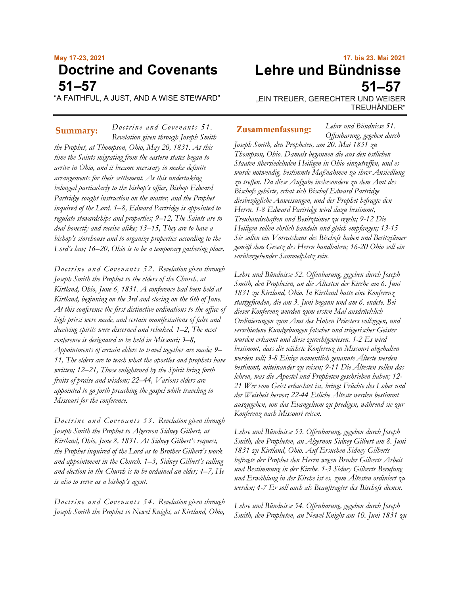# **May 17-23, 2021 Doctrine and Covenants 51–57**

"A FAITHFUL, A JUST, AND A WISE STEWARD"

*Doctrine and Covenants 51. Revelation given through Joseph Smith the Prophet, at Thompson, Ohio, May 20, 1831. At this time the Saints migrating from the eastern states began to arrive in Ohio, and it became necessary to make definite arrangements for their settlement. As this undertaking belonged particularly to the bishop's office, Bishop Edward Partridge sought instruction on the matter, and the Prophet inquired of the Lord. 1–8, Edward Partridge is appointed to regulate stewardships and properties; 9–12, The Saints are to deal honestly and receive alike; 13–15, They are to have a bishop's storehouse and to organize properties according to the Lord's law; 16–20, Ohio is to be a temporary gathering place.* **Summary: Zusammenfassung:**

*Doctrine and Covenants 52. Revelation given through Joseph Smith the Prophet to the elders of the Church, at Kirtland, Ohio, June 6, 1831. A conference had been held at Kirtland, beginning on the 3rd and closing on the 6th of June. At this conference the first distinctive ordinations to the office of high priest were made, and certain manifestations of false and deceiving spirits were discerned and rebuked. 1–2, The next conference is designated to be held in Missouri; 3–8, Appointments of certain elders to travel together are made; 9– 11, The elders are to teach what the apostles and prophets have written; 12–21, Those enlightened by the Spirit bring forth fruits of praise and wisdom; 22–44, Various elders are appointed to go forth preaching the gospel while traveling to Missouri for the conference.*

*Doctrine and Covenants 53. Revelation given through Joseph Smith the Prophet to Algernon Sidney Gilbert, at Kirtland, Ohio, June 8, 1831. At Sidney Gilbert's request, the Prophet inquired of the Lord as to Brother Gilbert's work and appointment in the Church. 1–3, Sidney Gilbert's calling and election in the Church is to be ordained an elder; 4–7, He is also to serve as a bishop's agent.*

*Doctrine and Covenants 54. Revelation given through Joseph Smith the Prophet to Newel Knight, at Kirtland, Ohio,* 

# **17. bis 23. Mai 2021 Lehre und Bündnisse 51–57**

"EIN TREUER, GERECHTER UND WEISER TREUHÄNDER"

*Lehre und Bündnisse 51.*

*Offenbarung, gegeben durch Joseph Smith, den Propheten, am 20. Mai 1831 zu Thompson, Ohio. Damals begannen die aus den östlichen Staaten übersiedelnden Heiligen in Ohio einzutreffen, und es wurde notwendig, bestimmte Maßnahmen zu ihrer Ansiedlung zu treffen. Da diese Aufgabe insbesondere zu dem Amt des Bischofs gehörte, erbat sich Bischof Edward Partridge diesbezügliche Anweisungen, und der Prophet befragte den Herrn. 1-8 Edward Partridge wird dazu bestimmt, Treuhandschaften und Besitztümer zu regeln; 9-12 Die Heiligen sollen ehrlich handeln und gleich empfangen; 13-15 Sie sollen ein Vorratshaus des Bischofs haben und Besitztümer gemäß dem Gesetz des Herrn handhaben; 16-20 Ohio soll ein vorübergehender Sammelplatz sein.*

*Lehre und Bündnisse 52. Offenbarung, gegeben durch Joseph Smith, den Propheten, an die Ältesten der Kirche am 6. Juni 1831 zu Kirtland, Ohio. In Kirtland hatte eine Konferenz stattgefunden, die am 3. Juni begann und am 6. endete. Bei dieser Konferenz wurden zum ersten Mal ausdrücklich Ordinierungen zum Amt des Hohen Priesters vollzogen, und verschiedene Kundgebungen falscher und trügerischer Geister wurden erkannt und diese zurechtgewiesen. 1-2 Es wird bestimmt, dass die nächste Konferenz in Missouri abgehalten werden soll; 3-8 Einige namentlich genannte Älteste werden bestimmt, miteinander zu reisen; 9-11 Die Ältesten sollen das lehren, was die Apostel und Propheten geschrieben haben; 12- 21 Wer vom Geist erleuchtet ist, bringt Früchte des Lobes und der Weisheit hervor; 22-44 Etliche Älteste werden bestimmt auszugehen, um das Evangelium zu predigen, während sie zur Konferenz nach Missouri reisen.*

*Lehre und Bündnisse 53. Offenbarung, gegeben durch Joseph Smith, den Propheten, an Algernon Sidney Gilbert am 8. Juni 1831 zu Kirtland, Ohio. Auf Ersuchen Sidney Gilberts befragte der Prophet den Herrn wegen Bruder Gilberts Arbeit und Bestimmung in der Kirche. 1-3 Sidney Gilberts Berufung und Erwählung in der Kirche ist es, zum Ältesten ordiniert zu werden; 4-7 Er soll auch als Beauftragter des Bischofs dienen.*

*Lehre und Bündnisse 54. Offenbarung, gegeben durch Joseph Smith, den Propheten, an Newel Knight am 10. Juni 1831 zu*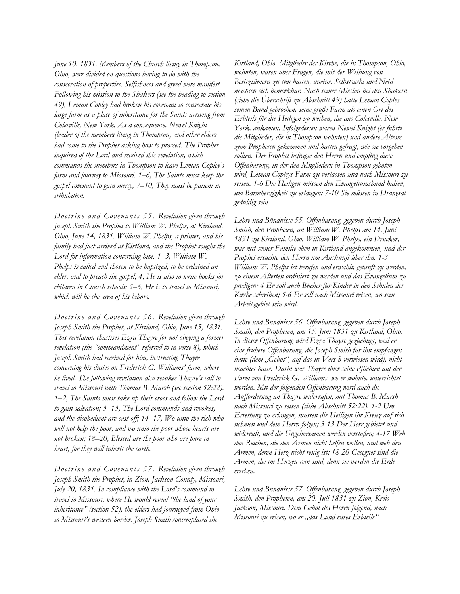*June 10, 1831. Members of the Church living in Thompson, Ohio, were divided on questions having to do with the consecration of properties. Selfishness and greed were manifest. Following his mission to the Shakers (see the heading to section 49), Leman Copley had broken his covenant to consecrate his large farm as a place of inheritance for the Saints arriving from Colesville, New York. As a consequence, Newel Knight (leader of the members living in Thompson) and other elders had come to the Prophet asking how to proceed. The Prophet inquired of the Lord and received this revelation, which commands the members in Thompson to leave Leman Copley's farm and journey to Missouri. 1–6, The Saints must keep the gospel covenant to gain mercy; 7–10, They must be patient in tribulation.*

*Doctrine and Covenants 55. Revelation given through Joseph Smith the Prophet to William W. Phelps, at Kirtland, Ohio, June 14, 1831. William W. Phelps, a printer, and his family had just arrived at Kirtland, and the Prophet sought the Lord for information concerning him. 1–3, William W. Phelps is called and chosen to be baptized, to be ordained an elder, and to preach the gospel; 4, He is also to write books for children in Church schools; 5–6, He is to travel to Missouri, which will be the area of his labors.*

*Doctrine and Cove nants 56. Revelation given through Joseph Smith the Prophet, at Kirtland, Ohio, June 15, 1831. This revelation chastises Ezra Thayre for not obeying a former revelation (the "commandment" referred to in verse 8), which Joseph Smith had received for him, instructing Thayre concerning his duties on Frederick G. Williams' farm, where he lived. The following revelation also revokes Thayre's call to travel to Missouri with Thomas B. Marsh (see section 52:22). 1–2, The Saints must take up their cross and follow the Lord to gain salvation; 3–13, The Lord commands and revokes, and the disobedient are cast off; 14–17, Wo unto the rich who will not help the poor, and wo unto the poor whose hearts are not broken; 18–20, Blessed are the poor who are pure in heart, for they will inherit the earth.*

*Doctrine and Covenants 57. Revelation given through Joseph Smith the Prophet, in Zion, Jackson County, Missouri, July 20, 1831. In compliance with the Lord's command to travel to Missouri, where He would reveal "the land of your inheritance" (section 52), the elders had journeyed from Ohio to Missouri's western border. Joseph Smith contemplated the* 

*Kirtland, Ohio. Mitglieder der Kirche, die in Thompson, Ohio, wohnten, waren über Fragen, die mit der Weihung von Besitztümern zu tun hatten, uneins. Selbstsucht und Neid machten sich bemerkbar. Nach seiner Mission bei den Shakern (siehe die Überschrift zu Abschnitt 49) hatte Leman Copley seinen Bund gebrochen, seine große Farm als einen Ort des Erbteils für die Heiligen zu weihen, die aus Colesville, New York, ankamen. Infolgedessen waren Newel Knight (er führte die Mitglieder, die in Thompson wohnten) und andere Älteste zum Propheten gekommen und hatten gefragt, wie sie vorgehen sollten. Der Prophet befragte den Herrn und empfing diese Offenbarung, in der den Mitgliedern in Thompson geboten wird, Leman Copleys Farm zu verlassen und nach Missouri zu reisen. 1-6 Die Heiligen müssen den Evangeliumsbund halten, um Barmherzigkeit zu erlangen; 7-10 Sie müssen in Drangsal geduldig sein*

*Lehre und Bündnisse 55. Offenbarung, gegeben durch Joseph Smith, den Propheten, an William W. Phelps am 14. Juni 1831 zu Kirtland, Ohio. William W. Phelps, ein Drucker, war mit seiner Familie eben in Kirtland angekommen, und der Prophet ersuchte den Herrn um Auskunft über ihn. 1-3 William W. Phelps ist berufen und erwählt, getauft zu werden, zu einem Ältesten ordiniert zu werden und das Evangelium zu predigen; 4 Er soll auch Bücher für Kinder in den Schulen der Kirche schreiben; 5-6 Er soll nach Missouri reisen, wo sein Arbeitsgebiet sein wird.*

*Lehre und Bündnisse 56. Offenbarung, gegeben durch Joseph Smith, den Propheten, am 15. Juni 1831 zu Kirtland, Ohio. In dieser Offenbarung wird Ezra Thayre gezüchtigt, weil er eine frühere Offenbarung, die Joseph Smith für ihn empfangen hatte (dem "Gebot", auf das in Vers 8 verwiesen wird), nicht beachtet hatte. Darin war Thayre über seine Pflichten auf der Farm von Frederick G. Williams, wo er wohnte, unterrichtet worden. Mit der folgenden Offenbarung wird auch die Aufforderung an Thayre widerrufen, mit Thomas B. Marsh nach Missouri zu reisen (siehe Abschnitt 52:22). 1-2 Um Errettung zu erlangen, müssen die Heiligen ihr Kreuz auf sich nehmen und dem Herrn folgen; 3-13 Der Herr gebietet und widerruft, und die Ungehorsamen werden verstoßen; 4-17 Weh den Reichen, die den Armen nicht helfen wollen, und weh den Armen, deren Herz nicht reuig ist; 18-20 Gesegnet sind die Armen, die im Herzen rein sind, denn sie werden die Erde ererben.*

*Lehre und Bündnisse 57. Offenbarung, gegeben durch Joseph Smith, den Propheten, am 20. Juli 1831 zu Zion, Kreis Jackson, Missouri. Dem Gebot des Herrn folgend, nach Missouri zu reisen, wo er "das Land eures Erbteils"*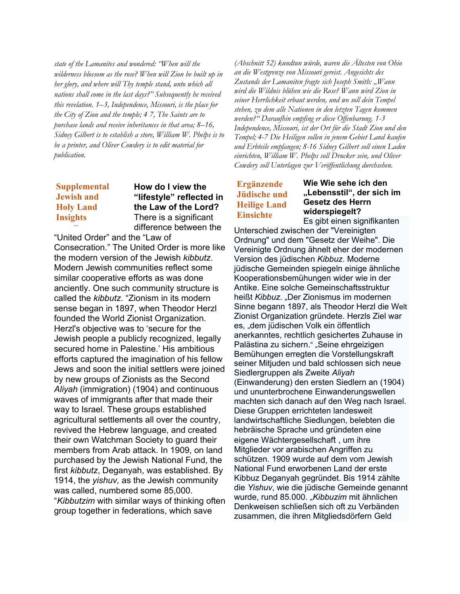*state of the Lamanites and wondered: "When will the wilderness blossom as the rose? When will Zion be built up in her glory, and where will Thy temple stand, unto which all nations shall come in the last days?" Subsequently he received this revelation. 1–3, Independence, Missouri, is the place for the City of Zion and the temple; 4 7, The Saints are to purchase lands and receive inheritances in that area; 8–16, Sidney Gilbert is to establish a store, William W. Phelps is to be a printer, and Oliver Cowdery is to edit material for publication.*

# **Supplemental Supplemental Jewish and Jewish and Holy Land Holy Land Insights Insights**

## **How do I view the "lifestyle" reflected in the Law of the Lord?** There is a significant difference between the

"United Order" and the "Law of Consecration." The United Order is more like the modern version of the Jewish *kibbutz*. Modern Jewish communities reflect some similar cooperative efforts as was done anciently. One such community structure is called the *kibbutz*. "Zionism in its modern sense began in 1897, when Theodor Herzl founded the World Zionist Organization. Herzl's objective was to 'secure for the Jewish people a publicly recognized, legally secured home in Palestine.' His ambitious efforts captured the imagination of his fellow Jews and soon the initial settlers were joined by new groups of Zionists as the Second *Aliyah* (immigration) (1904) and continuous waves of immigrants after that made their way to Israel. These groups established agricultural settlements all over the country, revived the Hebrew language, and created their own Watchman Society to guard their members from Arab attack. In 1909, on land purchased by the Jewish National Fund, the first *kibbutz*, Deganyah, was established. By 1914, the *yishuv,* as the Jewish community was called, numbered some 85,000. "*Kibbutzim* with similar ways of thinking often group together in federations, which save

*(Abschnitt 52) kundtun würde, waren die Ältesten von Ohio an die Westgrenze von Missouri gereist. Angesichts des Zustands der Lamaniten fragte sich Joseph Smith: "Wann wird die Wildnis blühen wie die Rose? Wann wird Zion in seiner Herrlichkeit erbaut werden, und wo soll dein Tempel stehen, zu dem alle Nationen in den letzten Tagen kommen werden?" Daraufhin empfing er diese Offenbarung. 1-3 Independence, Missouri, ist der Ort für die Stadt Zion und den Tempel; 4-7 Die Heiligen sollen in jenem Gebiet Land kaufen und Erbteile empfangen; 8-16 Sidney Gilbert soll einen Laden einrichten, William W. Phelps soll Drucker sein, und Oliver Cowdery soll Unterlagen zur Veröffentlichung durchsehen.*

# **Ergänzende Jüdische und Heilige Land Einsichte**

**Wie Wie sehe ich den "Lebensstil", der sich im Gesetz des Herrn widerspiegelt?** Es gibt einen signifikanten

Unterschied zwischen der "Vereinigten Ordnung" und dem "Gesetz der Weihe". Die Vereinigte Ordnung ähnelt eher der modernen Version des jüdischen *Kibbuz*. Moderne jüdische Gemeinden spiegeln einige ähnliche Kooperationsbemühungen wider wie in der Antike. Eine solche Gemeinschaftsstruktur heißt Kibbuz. "Der Zionismus im modernen Sinne begann 1897, als Theodor Herzl die Welt Zionist Organization gründete. Herzls Ziel war es, "dem jüdischen Volk ein öffentlich anerkanntes, rechtlich gesichertes Zuhause in Palästina zu sichern." "Seine ehrgeizigen Bemühungen erregten die Vorstellungskraft seiner Mitjuden und bald schlossen sich neue Siedlergruppen als Zweite *Aliyah* (Einwanderung) den ersten Siedlern an (1904) und ununterbrochene Einwanderungswellen machten sich danach auf den Weg nach Israel. Diese Gruppen errichteten landesweit landwirtschaftliche Siedlungen, belebten die hebräische Sprache und gründeten eine eigene Wächtergesellschaft , um ihre Mitglieder vor arabischen Angriffen zu schützen. 1909 wurde auf dem vom Jewish National Fund erworbenen Land der erste Kibbuz Deganyah gegründet. Bis 1914 zählte die *Yishuv*, wie die jüdische Gemeinde genannt wurde, rund 85.000. "*Kibbuzim* mit ähnlichen Denkweisen schließen sich oft zu Verbänden zusammen, die ihren Mitgliedsdörfern Geld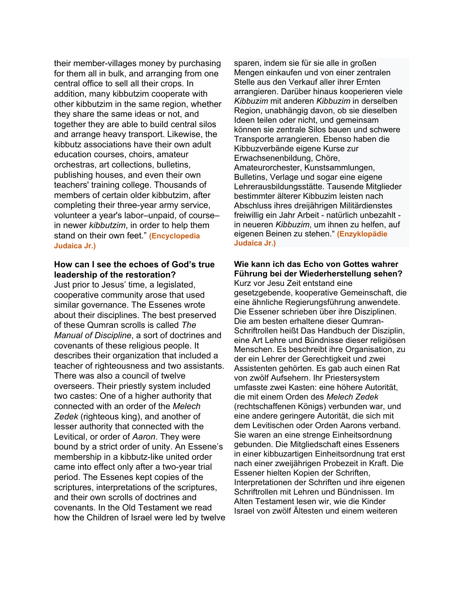their member-villages money by purchasing for them all in bulk, and arranging from one central office to sell all their crops. In addition, many kibbutzim cooperate with other kibbutzim in the same region, whether they share the same ideas or not, and together they are able to build central silos and arrange heavy transport. Likewise, the kibbutz associations have their own adult education courses, choirs, amateur orchestras, art collections, bulletins, publishing houses, and even their own teachers' training college. Thousands of members of certain older kibbutzim, after completing their three-year army service, volunteer a year's labor–unpaid, of course– in newer *kibbutzim*, in order to help them stand on their own feet." **(Encyclopedia Judaica Jr.)**

#### **How can I see the echoes of God's true leadership of the restoration?**

Just prior to Jesus' time, a legislated, cooperative community arose that used similar governance. The Essenes wrote about their disciplines. The best preserved of these Qumran scrolls is called *The Manual of Discipline*, a sort of doctrines and covenants of these religious people. It describes their organization that included a teacher of righteousness and two assistants. There was also a council of twelve overseers. Their priestly system included two castes: One of a higher authority that connected with an order of the *Melech Zedek* (righteous king), and another of lesser authority that connected with the Levitical, or order of *Aaron*. They were bound by a strict order of unity. An Essene's membership in a kibbutz-like united order came into effect only after a two-year trial period. The Essenes kept copies of the scriptures, interpretations of the scriptures, and their own scrolls of doctrines and covenants. In the Old Testament we read how the Children of Israel were led by twelve

sparen, indem sie für sie alle in großen Mengen einkaufen und von einer zentralen Stelle aus den Verkauf aller ihrer Ernten arrangieren. Darüber hinaus kooperieren viele *Kibbuzim* mit anderen *Kibbuzim* in derselben Region, unabhängig davon, ob sie dieselben Ideen teilen oder nicht, und gemeinsam können sie zentrale Silos bauen und schwere Transporte arrangieren. Ebenso haben die Kibbuzverbände eigene Kurse zur Erwachsenenbildung, Chöre, Amateurorchester, Kunstsammlungen, Bulletins, Verlage und sogar eine eigene Lehrerausbildungsstätte. Tausende Mitglieder bestimmter älterer Kibbuzim leisten nach Abschluss ihres dreijährigen Militärdienstes freiwillig ein Jahr Arbeit - natürlich unbezahlt in neueren *Kibbuzim*, um ihnen zu helfen, auf eigenen Beinen zu stehen." **(Enzyklopädie Judaica Jr.)**

# **Wie kann ich das Echo von Gottes wahrer Führung bei der Wiederherstellung sehen?**

Kurz vor Jesu Zeit entstand eine gesetzgebende, kooperative Gemeinschaft, die eine ähnliche Regierungsführung anwendete. Die Essener schrieben über ihre Disziplinen. Die am besten erhaltene dieser Qumran-Schriftrollen heißt Das Handbuch der Disziplin, eine Art Lehre und Bündnisse dieser religiösen Menschen. Es beschreibt ihre Organisation, zu der ein Lehrer der Gerechtigkeit und zwei Assistenten gehörten. Es gab auch einen Rat von zwölf Aufsehern. Ihr Priestersystem umfasste zwei Kasten: eine höhere Autorität, die mit einem Orden des *Melech Zedek* (rechtschaffenen Königs) verbunden war, und eine andere geringere Autorität, die sich mit dem Levitischen oder Orden Aarons verband. Sie waren an eine strenge Einheitsordnung gebunden. Die Mitgliedschaft eines Esseners in einer kibbuzartigen Einheitsordnung trat erst nach einer zweijährigen Probezeit in Kraft. Die Essener hielten Kopien der Schriften, Interpretationen der Schriften und ihre eigenen Schriftrollen mit Lehren und Bündnissen. Im Alten Testament lesen wir, wie die Kinder Israel von zwölf Ältesten und einem weiteren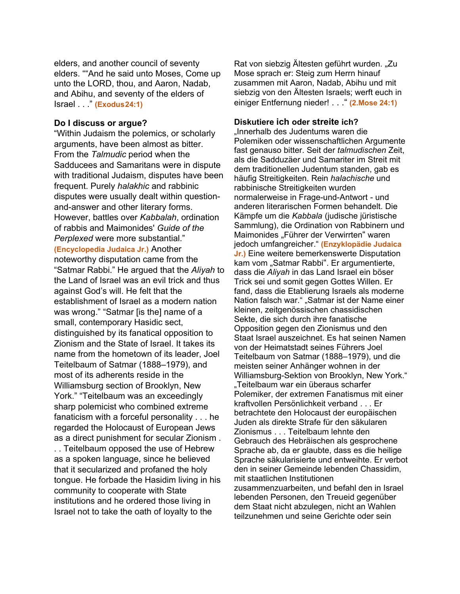elders, and another council of seventy elders. ""And he said unto Moses, Come up unto the LORD, thou, and Aaron, Nadab, and Abihu, and seventy of the elders of Israel . . ." **(Exodus24:1)**

#### **Do I discuss or argue?**

"Within Judaism the polemics, or scholarly arguments, have been almost as bitter. From the *Talmudic* period when the Sadducees and Samaritans were in dispute with traditional Judaism, disputes have been frequent. Purely *halakhic* and rabbinic disputes were usually dealt within questionand-answer and other literary forms. However, battles over *Kabbalah*, ordination of rabbis and Maimonides' *Guide of the Perplexed* were more substantial." **(Encyclopedia Judaica Jr.)** Another noteworthy disputation came from the "Satmar Rabbi." He argued that the *Aliyah* to the Land of Israel was an evil trick and thus against God's will. He felt that the establishment of Israel as a modern nation was wrong." "Satmar [is the] name of a small, contemporary Hasidic sect,

distinguished by its fanatical opposition to Zionism and the State of Israel. It takes its name from the hometown of its leader, Joel Teitelbaum of Satmar (1888–1979), and most of its adherents reside in the Williamsburg section of Brooklyn, New York." "Teitelbaum was an exceedingly sharp polemicist who combined extreme fanaticism with a forceful personality . . . he regarded the Holocaust of European Jews as a direct punishment for secular Zionism .

. . Teitelbaum opposed the use of Hebrew as a spoken language, since he believed that it secularized and profaned the holy tongue. He forbade the Hasidim living in his community to cooperate with State institutions and he ordered those living in Israel not to take the oath of loyalty to the

Rat von siebzig Ältesten geführt wurden. "Zu Mose sprach er: Steig zum Herrn hinauf zusammen mit Aaron, Nadab, Abihu und mit siebzig von den Ältesten Israels; werft euch in einiger Entfernung nieder! . . ." **(2.Mose 24:1)**

### **Diskutiere ich oder streite ich?**

lnnerhalb des Judentums waren die Polemiken oder wissenschaftlichen Argumente fast genauso bitter. Seit der *talmudischen* Zeit, als die Sadduzäer und Samariter im Streit mit dem traditionellen Judentum standen, gab es häufig Streitigkeiten. Rein *halachische* und rabbinische Streitigkeiten wurden normalerweise in Frage-und-Antwort - und anderen literarischen Formen behandelt. Die Kämpfe um die *Kabbala* (judische jüristische Sammlung), die Ordination von Rabbinern und Maimonides "Führer der Verwirrten" waren jedoch umfangreicher." **(Enzyklopädie Judaica Jr.)** Eine weitere bemerkenswerte Disputation kam vom "Satmar Rabbi". Er argumentierte, dass die *Aliyah* in das Land Israel ein böser Trick sei und somit gegen Gottes Willen. Er fand, dass die Etablierung Israels als moderne Nation falsch war." "Satmar ist der Name einer kleinen, zeitgenössischen chassidischen Sekte, die sich durch ihre fanatische Opposition gegen den Zionismus und den Staat Israel auszeichnet. Es hat seinen Namen von der Heimatstadt seines Führers Joel Teitelbaum von Satmar (1888–1979), und die meisten seiner Anhänger wohnen in der Williamsburg-Sektion von Brooklyn, New York." "Teitelbaum war ein überaus scharfer Polemiker, der extremen Fanatismus mit einer kraftvollen Persönlichkeit verband . . . Er betrachtete den Holocaust der europäischen Juden als direkte Strafe für den säkularen Zionismus . . . Teitelbaum lehnte den Gebrauch des Hebräischen als gesprochene Sprache ab, da er glaubte, dass es die heilige Sprache säkularisierte und entweihte. Er verbot den in seiner Gemeinde lebenden Chassidim, mit staatlichen Institutionen zusammenzuarbeiten, und befahl den in Israel lebenden Personen, den Treueid gegenüber dem Staat nicht abzulegen, nicht an Wahlen teilzunehmen und seine Gerichte oder sein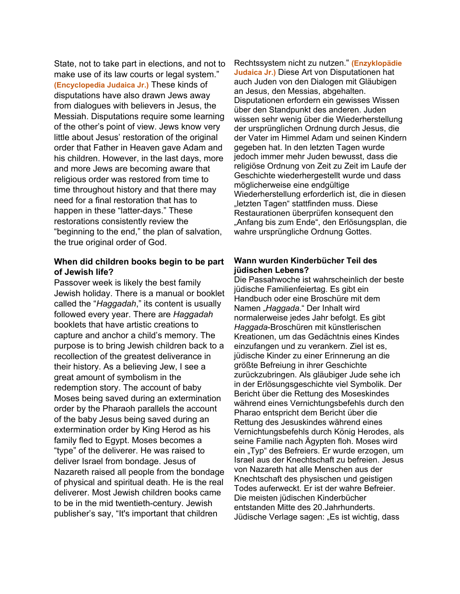State, not to take part in elections, and not to make use of its law courts or legal system." **(Encyclopedia Judaica Jr.)** These kinds of disputations have also drawn Jews away from dialogues with believers in Jesus, the Messiah. Disputations require some learning of the other's point of view. Jews know very little about Jesus' restoration of the original order that Father in Heaven gave Adam and his children. However, in the last days, more and more Jews are becoming aware that religious order was restored from time to time throughout history and that there may need for a final restoration that has to happen in these "latter-days." These restorations consistently review the "beginning to the end," the plan of salvation, the true original order of God.

## **When did children books begin to be part of Jewish life?**

Passover week is likely the best family Jewish holiday. There is a manual or booklet called the "*Haggadah*," its content is usually followed every year. There are *Haggadah* booklets that have artistic creations to capture and anchor a child's memory. The purpose is to bring Jewish children back to a recollection of the greatest deliverance in their history. As a believing Jew, I see a great amount of symbolism in the redemption story. The account of baby Moses being saved during an extermination order by the Pharaoh parallels the account of the baby Jesus being saved during an extermination order by King Herod as his family fled to Egypt. Moses becomes a "type" of the deliverer. He was raised to deliver Israel from bondage. Jesus of Nazareth raised all people from the bondage of physical and spiritual death. He is the real deliverer. Most Jewish children books came to be in the mid twentieth-century. Jewish publisher's say, "It's important that children

Rechtssystem nicht zu nutzen." **(Enzyklopädie Judaica Jr.)** Diese Art von Disputationen hat auch Juden von den Dialogen mit Gläubigen an Jesus, den Messias, abgehalten. Disputationen erfordern ein gewisses Wissen über den Standpunkt des anderen. Juden wissen sehr wenig über die Wiederherstellung der ursprünglichen Ordnung durch Jesus, die der Vater im Himmel Adam und seinen Kindern gegeben hat. In den letzten Tagen wurde jedoch immer mehr Juden bewusst, dass die religiöse Ordnung von Zeit zu Zeit im Laufe der Geschichte wiederhergestellt wurde und dass möglicherweise eine endgültige Wiederherstellung erforderlich ist, die in diesen "letzten Tagen" stattfinden muss. Diese Restaurationen überprüfen konsequent den "Anfang bis zum Ende", den Erlösungsplan, die wahre ursprüngliche Ordnung Gottes.

#### **Wann wurden Kinderbücher Teil des jüdischen Lebens?**

Die Passahwoche ist wahrscheinlich der beste jüdische Familienfeiertag. Es gibt ein Handbuch oder eine Broschüre mit dem Namen "*Haggada*." Der Inhalt wird normalerweise jedes Jahr befolgt. Es gibt *Haggada*-Broschüren mit künstlerischen Kreationen, um das Gedächtnis eines Kindes einzufangen und zu verankern. Ziel ist es, jüdische Kinder zu einer Erinnerung an die größte Befreiung in ihrer Geschichte zurückzubringen. Als gläubiger Jude sehe ich in der Erlösungsgeschichte viel Symbolik. Der Bericht über die Rettung des Moseskindes während eines Vernichtungsbefehls durch den Pharao entspricht dem Bericht über die Rettung des Jesuskindes während eines Vernichtungsbefehls durch König Herodes, als seine Familie nach Ägypten floh. Moses wird ein "Typ" des Befreiers. Er wurde erzogen, um Israel aus der Knechtschaft zu befreien. Jesus von Nazareth hat alle Menschen aus der Knechtschaft des physischen und geistigen Todes auferweckt. Er ist der wahre Befreier. Die meisten jüdischen Kinderbücher entstanden Mitte des 20.Jahrhunderts. Jüdische Verlage sagen: "Es ist wichtig, dass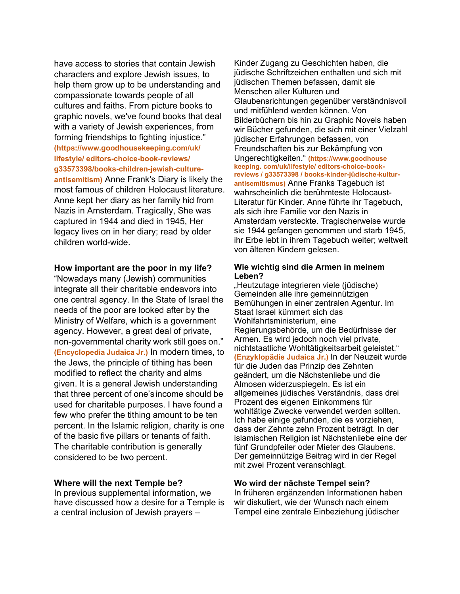have access to stories that contain Jewish characters and explore Jewish issues, to help them grow up to be understanding and compassionate towards people of all cultures and faiths. From picture books to graphic novels, we've found books that deal with a variety of Jewish experiences, from forming friendships to fighting injustice." **(https://www.goodhousekeeping.com/uk/ lifestyle/ editors-choice-book-reviews/ g33573398/books-children-jewish-cultureantisemitism)** Anne Frank's Diary is likely the most famous of children Holocaust literature. Anne kept her diary as her family hid from Nazis in Amsterdam. Tragically, She was captured in 1944 and died in 1945, Her legacy lives on in her diary; read by older children world-wide.

#### **How important are the poor in my life?**

"Nowadays many (Jewish) communities integrate all their charitable endeavors into one central agency. In the State of Israel the needs of the poor are looked after by the Ministry of Welfare, which is a government agency. However, a great deal of private, non-governmental charity work still goes on." **(Encyclopedia Judaica Jr.)** In modern times, to the Jews, the principle of tithing has been modified to reflect the charity and alms given. It is a general Jewish understanding that three percent of one's income should be used for charitable purposes. I have found a few who prefer the tithing amount to be ten percent. In the Islamic religion, charity is one of the basic five pillars or tenants of faith. The charitable contribution is generally considered to be two percent.

#### **Where will the next Temple be?**

In previous supplemental information, we have discussed how a desire for a Temple is a central inclusion of Jewish prayers –

Kinder Zugang zu Geschichten haben, die jüdische Schriftzeichen enthalten und sich mit jüdischen Themen befassen, damit sie Menschen aller Kulturen und Glaubensrichtungen gegenüber verständnisvoll und mitfühlend werden können. Von Bilderbüchern bis hin zu Graphic Novels haben wir Bücher gefunden, die sich mit einer Vielzahl jüdischer Erfahrungen befassen, von Freundschaften bis zur Bekämpfung von Ungerechtigkeiten." **(https://www.goodhouse keeping. com/uk/lifestyle/ editors-choice-bookreviews / g33573398 / books-kinder-jüdische-kulturantisemitismus)** Anne Franks Tagebuch ist wahrscheinlich die berühmteste Holocaust-Literatur für Kinder. Anne führte ihr Tagebuch, als sich ihre Familie vor den Nazis in Amsterdam versteckte. Tragischerweise wurde sie 1944 gefangen genommen und starb 1945, ihr Erbe lebt in ihrem Tagebuch weiter; weltweit von älteren Kindern gelesen.

#### **Wie wichtig sind die Armen in meinem Leben?**

"Heutzutage integrieren viele (jüdische) Gemeinden alle ihre gemeinnützigen Bemühungen in einer zentralen Agentur. Im Staat Israel kümmert sich das Wohlfahrtsministerium, eine Regierungsbehörde, um die Bedürfnisse der Armen. Es wird jedoch noch viel private, nichtstaatliche Wohltätigkeitsarbeit geleistet." **(Enzyklopädie Judaica Jr.)** In der Neuzeit wurde für die Juden das Prinzip des Zehnten geändert, um die Nächstenliebe und die Almosen widerzuspiegeln. Es ist ein allgemeines jüdisches Verständnis, dass drei Prozent des eigenen Einkommens für wohltätige Zwecke verwendet werden sollten. Ich habe einige gefunden, die es vorziehen, dass der Zehnte zehn Prozent beträgt. In der islamischen Religion ist Nächstenliebe eine der fünf Grundpfeiler oder Mieter des Glaubens. Der gemeinnützige Beitrag wird in der Regel mit zwei Prozent veranschlagt.

#### **Wo wird der nächste Tempel sein?**

In früheren ergänzenden Informationen haben wir diskutiert, wie der Wunsch nach einem Tempel eine zentrale Einbeziehung jüdischer